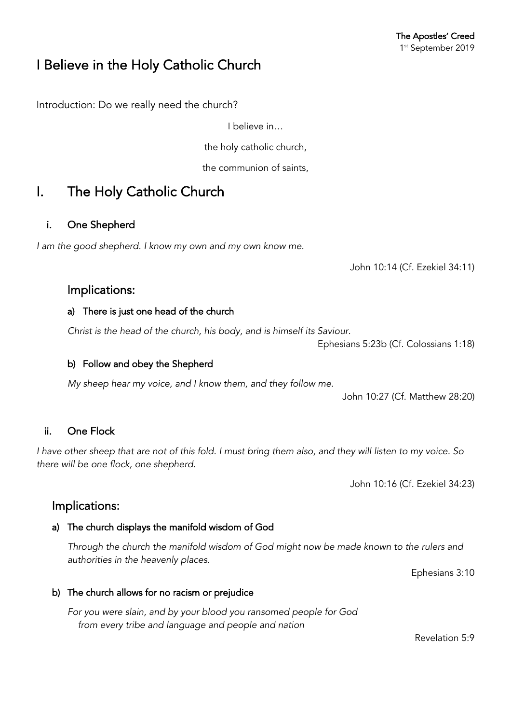## I Believe in the Holy Catholic Church

Introduction: Do we really need the church?

I believe in…

the holy catholic church,

the communion of saints,

# I. The Holy Catholic Church

#### i. One Shepherd

*I am the good shepherd. I know my own and my own know me.*

John 10:14 (Cf. Ezekiel 34:11)

### Implications:

#### a) There is just one head of the church

*Christ is the head of the church, his body, and is himself its Saviour.*

Ephesians 5:23b (Cf. Colossians 1:18)

#### b) Follow and obey the Shepherd

*My sheep hear my voice, and I know them, and they follow me.*

John 10:27 (Cf. Matthew 28:20)

### ii. One Flock

*I have other sheep that are not of this fold. I must bring them also, and they will listen to my voice. So there will be one flock, one shepherd.*

John 10:16 (Cf. Ezekiel 34:23)

### Implications:

#### a) The church displays the manifold wisdom of God

*Through the church the manifold wisdom of God might now be made known to the rulers and authorities in the heavenly places.*

Ephesians 3:10

b) The church allows for no racism or prejudice

*For you were slain, and by your blood you ransomed people for God from every tribe and language and people and nation*

Revelation 5:9